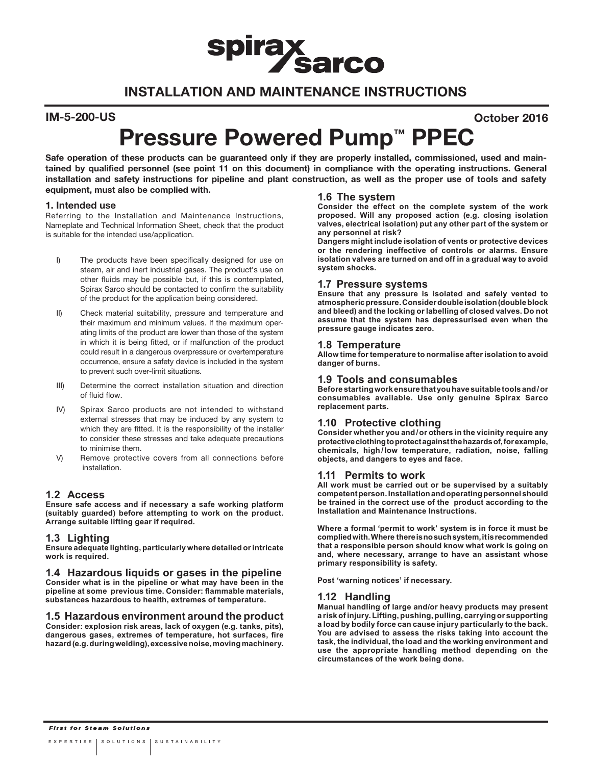# **spiray Sarco**

# INSTALLATION AND MAINTENANCE INSTRUCTIONS

#### IM-5-200-US October 2016

# Pressure Powered Pump<sup>™</sup> PPEC

Safe operation of these products can be guaranteed only if they are properly installed, commissioned, used and maintained by qualified personnel (see point 11 on this document) in compliance with the operating instructions. General installation and safety instructions for pipeline and plant construction, as well as the proper use of tools and safety equipment, must also be complied with. **1.6 The system**

#### 1. Intended use

Referring to the Installation and Maintenance Instructions, Nameplate and Technical Information Sheet, check that the product is suitable for the intended use/application.

- I) The products have been specifically designed for use on steam, air and inert industrial gases. The product's use on other fluids may be possible but, if this is contemplated, Spirax Sarco should be contacted to confirm the suitability of the product for the application being considered.
- II) Check material suitability, pressure and temperature and their maximum and minimum values. If the maximum operating limits of the product are lower than those of the system in which it is being fitted, or if malfunction of the product could result in a dangerous overpressure or overtemperature occurrence, ensure a safety device is included in the system to prevent such over-limit situations.
- III) Determine the correct installation situation and direction of fluid flow.
- IV) Spirax Sarco products are not intended to withstand external stresses that may be induced by any system to which they are fitted. It is the responsibility of the installer to consider these stresses and take adequate precautions to minimise them.
- V) Remove protective covers from all connections before installation.

#### **1.2 Access**

**Ensure safe access and if necessary a safe working platform (suitably guarded) before attempting to work on the product. Arrange suitable lifting gear if required.**

#### **1.3 Lighting**

**Ensure adequate lighting, particularly where detailed or intricate work is required.**

**1.4 Hazardous liquids or gases in the pipeline Consider what is in the pipeline or what may have been in the pipeline at some previous time. Consider: flammable materials, substances hazardous to health, extremes of temperature.**

**1.5 Hazardous environment around the product Consider: explosion risk areas, lack of oxygen (e.g. tanks, pits), dangerous gases, extremes of temperature, hot surfaces, fire hazard (e.g. during welding), excessive noise, moving machinery.**

**Consider the effect on the complete system of the work proposed. Will any proposed action (e.g. closing isolation valves, electrical isolation) put any other part of the system or any personnel at risk?** 

**Dangers might include isolation of vents or protective devices or the rendering ineffective of controls or alarms. Ensure isolation valves are turned on and off in a gradual way to avoid system shocks.**

#### **1.7 Pressure systems**

**Ensure that any pressure is isolated and safely vented to atmospheric pressure. Consider double isolation (double block and bleed) and the locking or labelling of closed valves. Do not assume that the system has depressurised even when the pressure gauge indicates zero.**

#### **1.8 Temperature**

**Allow time for temperature to normalise after isolation to avoid danger of burns.**

#### **1.9 Tools and consumables**

**Before starting work ensure that you have suitable tools and/or consumables available. Use only genuine Spirax Sarco replacement parts.**

#### **1.10 Protective clothing**

**Consider whether you and/or others in the vicinity require any protective clothing to protect against the hazards of, for example, chemicals, high/low temperature, radiation, noise, falling objects, and dangers to eyes and face.**

#### **1.11 Permits to work**

**All work must be carried out or be supervised by a suitably competent person. Installation and operating personnel should be trained in the correct use of the product according to the Installation and Maintenance Instructions.**

**Where a formal 'permit to work' system is in force it must be complied with. Where there is no such system, it is recommended that a responsible person should know what work is going on and, where necessary, arrange to have an assistant whose primary responsibility is safety.**

**Post 'warning notices' if necessary.**

#### **1.12 Handling**

**Manual handling of large and/or heavy products may present a risk of injury. Lifting, pushing, pulling, carrying or supporting a load by bodily force can cause injury particularly to the back. You are advised to assess the risks taking into account the task, the individual, the load and the working environment and use the appropriate handling method depending on the circumstances of the work being done.**

**First for Steam Solutions**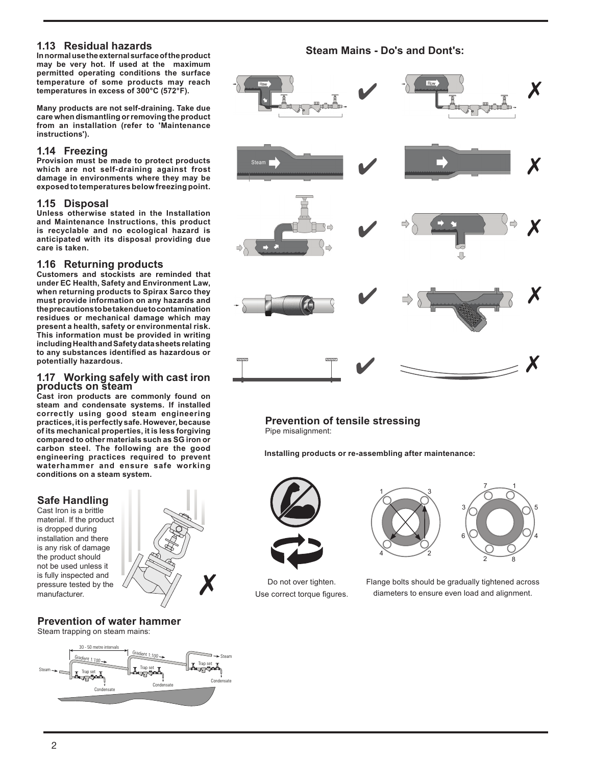#### **1.13 Residual hazards**

**In normal use the external surface of the product may be very hot. If used at the maximum permitted operating conditions the surface temperature of some products may reach temperatures in excess of 300°C (572°F).**

**Many products are not self-draining. Take due care when dismantling or removing the product from an installation (refer to 'Maintenance instructions').**

#### **1.14 Freezing**

**Provision must be made to protect products which are not self-draining against frost damage in environments where they may be exposed to temperatures below freezing point.**

#### **1.15 Disposal**

**Unless otherwise stated in the Installation and Maintenance Instructions, this product is recyclable and no ecological hazard is anticipated with its disposal providing due care is taken.**

### **1.16 Returning products**

**Customers and stockists are reminded that under EC Health, Safety and Environment Law, when returning products to Spirax Sarco they must provide information on any hazards and the precautions to be taken due to contamination residues or mechanical damage which may present a health, safety or environmental risk. This information must be provided in writing including Health and Safety data sheets relating to any substances identified as hazardous or potentially hazardous.**

# **1.17 Working safely with cast iron products on steam**

**Cast iron products are commonly found on steam and condensate systems. If installed correctly using good steam engineering practices, it is perfectly safe. However, because of its mechanical properties, it is less forgiving compared to other materials such as SG iron or carbon steel. The following are the good engineering practices required to prevent waterhammer and ensure safe working conditions on a steam system.** 

## **Safe Handling**

Cast Iron is a brittle material. If the product is dropped during installation and there is any risk of damage the product should not be used unless it is fully inspected and pressure tested by the manufacturer.



#### **Prevention of water hammer** Steam trapping on steam mains:



### **Steam Mains - Do's and Dont's:**



### **Prevention of tensile stressing**

Pipe misalignment:

**Installing products or re-assembling after maintenance:**



Do not over tighten. Use correct torque figures.





Flange bolts should be gradually tightened across diameters to ensure even load and alignment.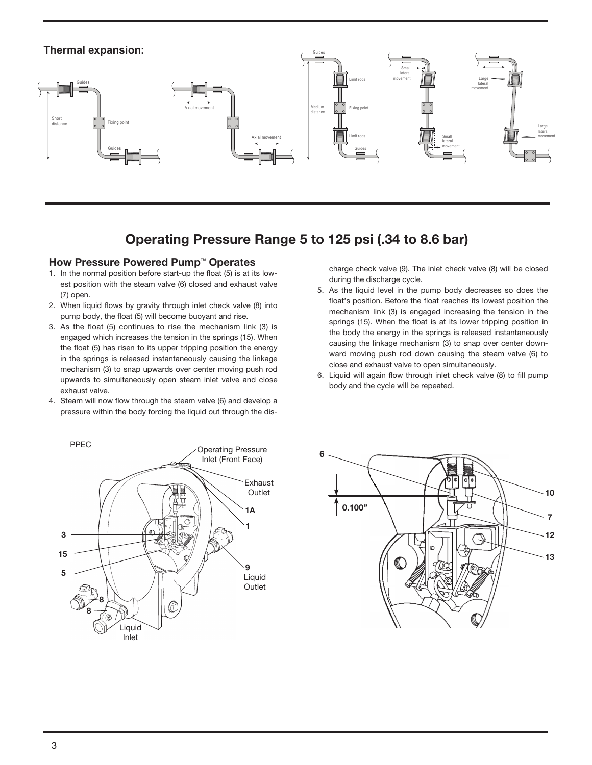

# Operating Pressure Range 5 to 125 psi (.34 to 8.6 bar)

#### How Pressure Powered Pump™ Operates

- 1. In the normal position before start-up the float (5) is at its lowest position with the steam valve (6) closed and exhaust valve (7) open.
- 2. When liquid flows by gravity through inlet check valve (8) into pump body, the float (5) will become buoyant and rise.
- 3. As the float (5) continues to rise the mechanism link (3) is engaged which increases the tension in the springs (15). When the float (5) has risen to its upper tripping position the energy in the springs is released instantaneously causing the linkage mechanism (3) to snap upwards over center moving push rod upwards to simultaneously open steam inlet valve and close exhaust valve.
- 4. Steam will now flow through the steam valve (6) and develop a pressure within the body forcing the liquid out through the dis-

charge check valve (9). The inlet check valve (8) will be closed during the discharge cycle.

- 5. As the liquid level in the pump body decreases so does the float's position. Before the float reaches its lowest position the mechanism link (3) is engaged increasing the tension in the springs (15). When the float is at its lower tripping position in the body the energy in the springs is released instantaneously causing the linkage mechanism (3) to snap over center downward moving push rod down causing the steam valve (6) to close and exhaust valve to open simultaneously.
- 6. Liquid will again flow through inlet check valve (8) to fill pump body and the cycle will be repeated.



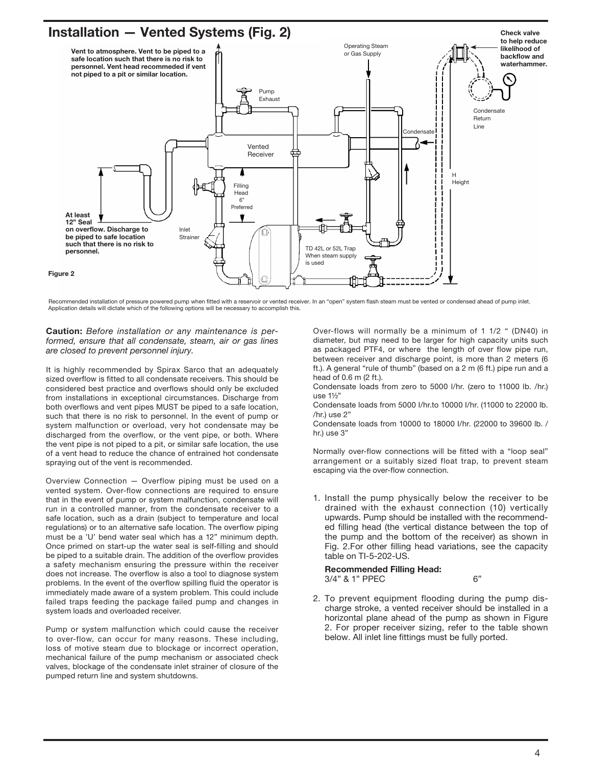# Installation — Vented Systems (Fig. 2)



Recommended installation of pressure powered pump when fitted with a reservoir or vented receiver. In an "open" system flash steam must be vented or condensed ahead of pump inlet. Application details will dictate which of the following options will be necessary to accomplish this.

Caution: Before installation or any maintenance is performed, ensure that all condensate, steam, air or gas lines are closed to prevent personnel injury.

It is highly recommended by Spirax Sarco that an adequately sized overflow is fitted to all condensate receivers. This should be considered best practice and overflows should only be excluded from installations in exceptional circumstances. Discharge from both overflows and vent pipes MUST be piped to a safe location, such that there is no risk to personnel. In the event of pump or system malfunction or overload, very hot condensate may be discharged from the overflow, or the vent pipe, or both. Where the vent pipe is not piped to a pit, or similar safe location, the use of a vent head to reduce the chance of entrained hot condensate spraying out of the vent is recommended.

Overview Connection — Overflow piping must be used on a vented system. Over-flow connections are required to ensure that in the event of pump or system malfunction, condensate will run in a controlled manner, from the condensate receiver to a safe location, such as a drain (subject to temperature and local regulations) or to an alternative safe location. The overflow piping must be a 'U' bend water seal which has a 12" minimum depth. Once primed on start-up the water seal is self-filling and should be piped to a suitable drain. The addition of the overflow provides a safety mechanism ensuring the pressure within the receiver does not increase. The overflow is also a tool to diagnose system problems. In the event of the overflow spilling fluid the operator is immediately made aware of a system problem. This could include failed traps feeding the package failed pump and changes in system loads and overloaded receiver.

Pump or system malfunction which could cause the receiver to over-flow, can occur for many reasons. These including, loss of motive steam due to blockage or incorrect operation, mechanical failure of the pump mechanism or associated check valves, blockage of the condensate inlet strainer of closure of the pumped return line and system shutdowns.

Over-flows will normally be a minimum of 1 1/2 " (DN40) in diameter, but may need to be larger for high capacity units such as packaged PTF4, or where the length of over flow pipe run, between receiver and discharge point, is more than 2 meters (6 ft.). A general "rule of thumb" (based on a 2 m (6 ft.) pipe run and a head of 0.6 m (2 ft.).

Condensate loads from zero to 5000 l/hr. (zero to 11000 lb. /hr.) use 1½"

Condensate loads from 5000 I/hr.to 10000 I/hr. (11000 to 22000 lb. /hr.) use 2"

Condensate loads from 10000 to 18000 I/hr. (22000 to 39600 lb. / hr.) use 3"

Normally over-flow connections will be fitted with a "loop seal" arrangement or a suitably sized float trap, to prevent steam escaping via the over-flow connection.

1. Install the pump physically below the receiver to be drained with the exhaust connection (10) vertically upwards. Pump should be installed with the recommended filling head (the vertical distance between the top of the pump and the bottom of the receiver) as shown in Fig. 2.For other filling head variations, see the capacity table on TI-5-202-US.

#### Recommended Filling Head: 3/4" & 1" PPEC 6"

- 
- 2. To prevent equipment flooding during the pump discharge stroke, a vented receiver should be installed in a horizontal plane ahead of the pump as shown in Figure 2. For proper receiver sizing, refer to the table shown below. All inlet line fittings must be fully ported.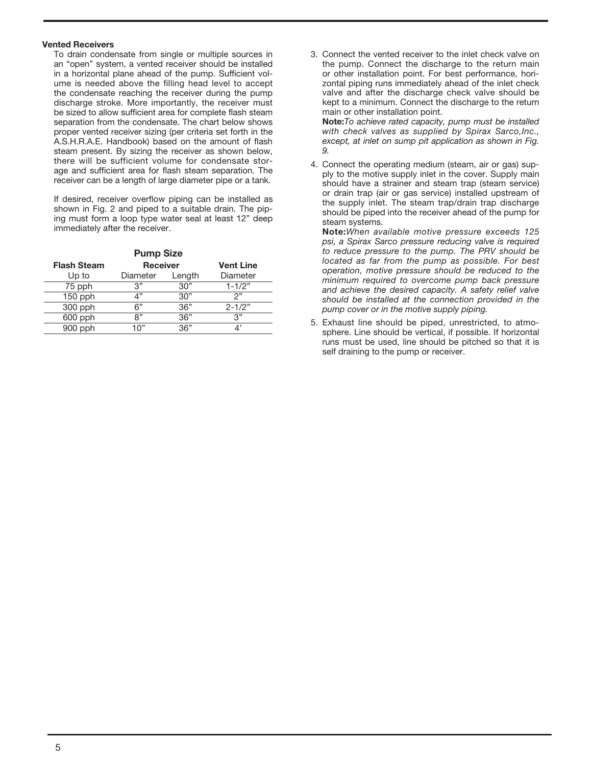#### Vented Receivers

To drain condensate from single or multiple sources in an "open" system, a vented receiver should be installed in a horizontal plane ahead of the pump. Sufficient volume is needed above the filling head level to accept the condensate reaching the receiver during the pump discharge stroke. More importantly, the receiver must be sized to allow sufficient area for complete flash steam separation from the condensate. The chart below shows proper vented receiver sizing (per criteria set forth in the A.S.H.R.A.E. Handbook) based on the amount of flash steam present. By sizing the receiver as shown below, there will be sufficient volume for condensate storage and sufficient area for flash steam separation. The receiver can be a length of large diameter pipe or a tank.

If desired, receiver overflow piping can be installed as shown in Fig. 2 and piped to a suitable drain. The piping must form a loop type water seal at least 12" deep immediately after the receiver.

| <b>Pump Size</b>   |                 |        |                  |
|--------------------|-----------------|--------|------------------|
| <b>Flash Steam</b> | <b>Receiver</b> |        | <b>Vent Line</b> |
| Up to              | Diameter        | Length | Diameter         |
| 75 pph             | 3"              | 30"    | $1 - 1/2"$       |
| $150$ pph          | 4"              | 30"    | 2"               |
| 300 pph            | 6"              | 36"    | $2 - 1/2"$       |
| 600 pph            | ጸ"              | 36"    | 3"               |
| $900$ pph          | 1 በ"            | 36"    |                  |

3. Connect the vented receiver to the inlet check valve on the pump. Connect the discharge to the return main or other installation point. For best performance, horizontal piping runs immediately ahead of the inlet check valve and after the discharge check valve should be kept to a minimum. Connect the discharge to the return main or other installation point.

Note:To achieve rated capacity, pump must be installed with check valves as supplied by Spirax Sarco, Inc., except, at inlet on sump pit application as shown in Fig. 9.

4. Connect the operating medium (steam, air or gas) supply to the motive supply inlet in the cover. Supply main should have a strainer and steam trap (steam service) or drain trap (air or gas service) installed upstream of the supply inlet. The steam trap/drain trap discharge should be piped into the receiver ahead of the pump for steam systems.

Note:When available motive pressure exceeds 125 psi, a Spirax Sarco pressure reducing valve is required to reduce pressure to the pump. The PRV should be located as far from the pump as possible. For best operation, motive pressure should be reduced to the minimum required to overcome pump back pressure and achieve the desired capacity. A safety relief valve should be installed at the connection provided in the pump cover or in the motive supply piping.

5. Exhaust line should be piped, unrestricted, to atmosphere. Line should be vertical, if possible. If horizontal runs must be used, line should be pitched so that it is self draining to the pump or receiver.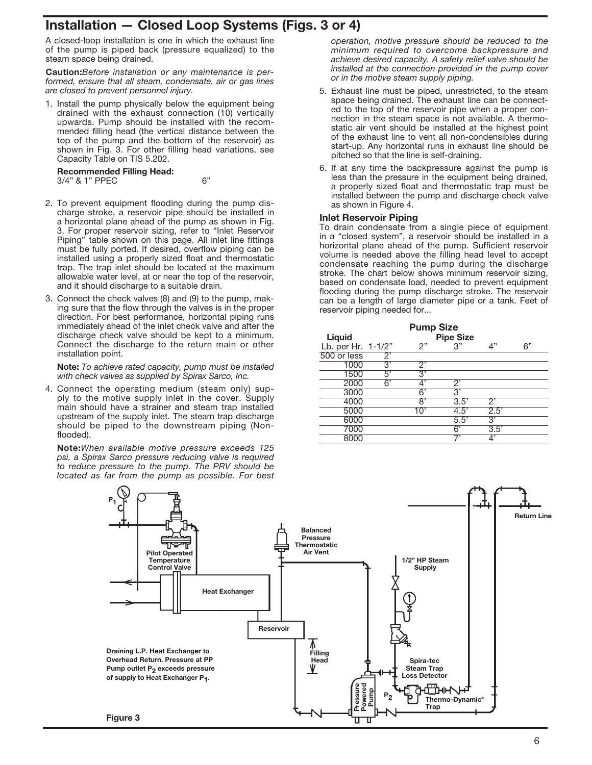# Installation — Closed Loop Systems (Figs. 3 or 4)

A closed-loop installation is one in which the exhaust line of the pump is piped back (pressure equalized) to the steam space being drained.

Caution:Before installation or any maintenance is performed, ensure that all steam, condensate, air or gas lines are closed to prevent personnel injury.

1. Install the pump physically below the equipment being drained with the exhaust connection (10) vertically upwards. Pump should be installed with the recommended filling head (the vertical distance between the top of the pump and the bottom of the reservoir) as shown in Fig. 3. For other filling head variations, see Capacity Table on TIS 5.202.

#### Recommended Filling Head:

3/4" & 1" PPEC 6"

- 2. To prevent equipment flooding during the pump discharge stroke, a reservoir pipe should be installed in a horizontal plane ahead of the pump as shown in Fig. 3. For proper reservoir sizing, refer to "Inlet Reservoir Piping" table shown on this page. All inlet line fittings must be fully ported. If desired, overflow piping can be installed using a properly sized float and thermostatic trap. The trap inlet should be located at the maximum allowable water level, at or near the top of the reservoir, and it should discharge to a suitable drain.
- 3. Connect the check valves (8) and (9) to the pump, making sure that the flow through the valves is in the proper direction. For best performance, horizontal piping runs immediately ahead of the inlet check valve and after the discharge check valve should be kept to a minimum. Connect the discharge to the return main or other installation point.

Note: To achieve rated capacity, pump must be installed with check valves as supplied by Spirax Sarco, Inc.

4. Connect the operating medium (steam only) supply to the motive supply inlet in the cover. Supply main should have a strainer and steam trap installed upstream of the supply inlet. The steam trap discharge should be piped to the downstream piping (Nonflooded).

Note:When available motive pressure exceeds 125 psi, a Spirax Sarco pressure reducing valve is required to reduce pressure to the pump. The PRV should be located as far from the pump as possible. For best

operation, motive pressure should be reduced to the minimum required to overcome backpressure and achieve desired capacity. A safety relief valve should be installed at the connection provided in the pump cover or in the motive steam supply piping.

- 5. Exhaust line must be piped, unrestricted, to the steam space being drained. The exhaust line can be connected to the top of the reservoir pipe when a proper connection in the steam space is not available. A thermostatic air vent should be installed at the highest point of the exhaust line to vent all non-condensibles during start-up. Any horizontal runs in exhaust line should be pitched so that the line is self-draining.
- 6. If at any time the backpressure against the pump is less than the pressure in the equipment being drained, a properly sized float and thermostatic trap must be installed between the pump and discharge check valve as shown in Figure 4.

#### Inlet Reservoir Piping

To drain condensate from a single piece of equipment in a "closed system", a reservoir should be installed in a horizontal plane ahead of the pump. Sufficient reservoir volume is needed above the filling head level to accept condensate reaching the pump during the discharge stroke. The chart below shows minimum reservoir sizing, based on condensate load, needed to prevent equipment flooding during the pump discharge stroke. The reservoir can be a length of large diameter pipe or a tank. Feet of reservoir piping needed for...

| <b>Pump Size</b>   |    |     |                  |                  |    |
|--------------------|----|-----|------------------|------------------|----|
| Liquid             |    |     | <b>Pipe Size</b> |                  |    |
| Lb. per Hr. 1-1/2" |    | 2"  | 3"               | 4"               | 6" |
| 500 or less        | 2' |     |                  |                  |    |
| 1000               | 3' | 2,  |                  |                  |    |
| 1500               | 5' | 3'  |                  |                  |    |
| 2000               | 6' | 4'  | 2,               |                  |    |
| 3000               |    | 6'  | 3'               |                  |    |
| 4000               |    | 8'  | 3.5'             | 2,               |    |
| 5000               |    | 1በ' | 4.5'             | 2.5'             |    |
| 6000               |    |     | 5.5'             | 3'               |    |
| 7000               |    |     | 6'               | $3.\overline{5}$ |    |
| 8000               |    |     |                  | 4'               |    |

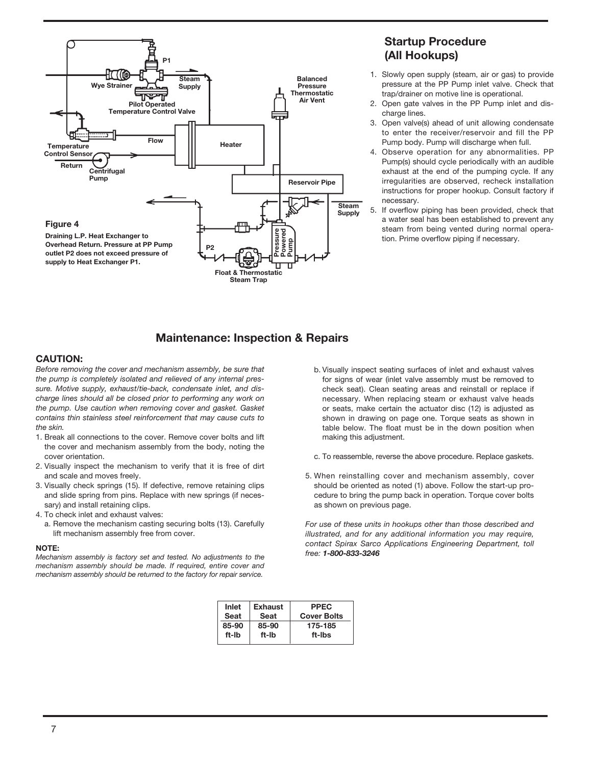

## Startup Procedure (All Hookups)

- 1. Slowly open supply (steam, air or gas) to provide pressure at the PP Pump inlet valve. Check that trap/drainer on motive line is operational.
- 2. Open gate valves in the PP Pump inlet and discharge lines.
- 3. Open valve(s) ahead of unit allowing condensate to enter the receiver/reservoir and fill the PP Pump body. Pump will discharge when full.
- 4. Observe operation for any abnormalities. PP Pump(s) should cycle periodically with an audible exhaust at the end of the pumping cycle. If any irregularities are observed, recheck installation instructions for proper hookup. Consult factory if necessary.
- 5. If overflow piping has been provided, check that a water seal has been established to prevent any steam from being vented during normal operation. Prime overflow piping if necessary.

## Maintenance: Inspection & Repairs

#### CAUTION:

Before removing the cover and mechanism assembly, be sure that the pump is completely isolated and relieved of any internal pressure. Motive supply, exhaust/tie-back, condensate inlet, and discharge lines should all be closed prior to performing any work on the pump. Use caution when removing cover and gasket. Gasket contains thin stainless steel reinforcement that may cause cuts to the skin.

- 1. Break all connections to the cover. Remove cover bolts and lift the cover and mechanism assembly from the body, noting the cover orientation.
- 2. Visually inspect the mechanism to verify that it is free of dirt and scale and moves freely.
- 3. Visually check springs (15). If defective, remove retaining clips and slide spring from pins. Replace with new springs (if necessary) and install retaining clips.
- 4. To check inlet and exhaust valves:
	- a. Remove the mechanism casting securing bolts (13). Carefully lift mechanism assembly free from cover.

NOTE:<br>Mechanism assembly is factory set and tested. No adjustments to the free: 1-800-833-3246 mechanism assembly should be made. If required, entire cover and mechanism assembly should be returned to the factory for repair service.

b. Visually inspect seating surfaces of inlet and exhaust valves for signs of wear (inlet valve assembly must be removed to check seat). Clean seating areas and reinstall or replace if necessary. When replacing steam or exhaust valve heads or seats, make certain the actuator disc (12) is adjusted as shown in drawing on page one. Torque seats as shown in table below. The float must be in the down position when making this adjustment.

c. To reassemble, reverse the above procedure. Replace gaskets.

5. When reinstalling cover and mechanism assembly, cover should be oriented as noted (1) above. Follow the start-up procedure to bring the pump back in operation. Torque cover bolts as shown on previous page.

For use of these units in hookups other than those described and illustrated, and for any additional information you may require, contact Spirax Sarco Applications Engineering Department, toll

| Inlet<br>Seat | <b>Exhaust</b><br>Seat | <b>PPEC</b><br><b>Cover Bolts</b> |
|---------------|------------------------|-----------------------------------|
| 85-90         | 85-90                  | 175-185                           |
| ft-Ib         | ft-Ib                  | ft-Ibs                            |
|               |                        |                                   |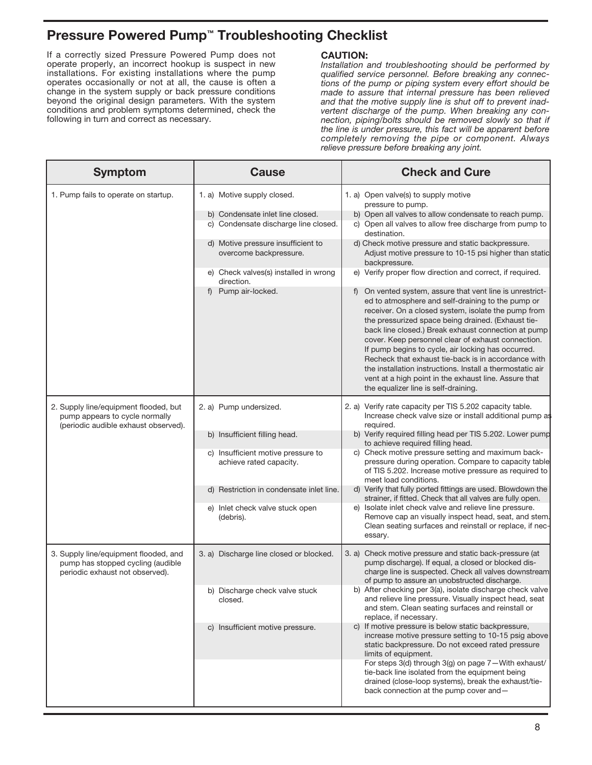# Pressure Powered Pump™ Troubleshooting Checklist

If a correctly sized Pressure Powered Pump does not operate properly, an incorrect hookup is suspect in new installations. For existing installations where the pump operates occasionally or not at all, the cause is often a change in the system supply or back pressure conditions beyond the original design parameters. With the system conditions and problem symptoms determined, check the following in turn and correct as necessary.

#### CAUTION:

Installation and troubleshooting should be performed by qualified service personnel. Before breaking any connections of the pump or piping system every effort should be made to assure that internal pressure has been relieved and that the motive supply line is shut off to prevent inadvertent discharge of the pump. When breaking any connection, piping/bolts should be removed slowly so that if the line is under pressure, this fact will be apparent before completely removing the pipe or component. Always relieve pressure before breaking any joint.

| <b>Symptom</b>                                                                                                  | <b>Cause</b>                                                             | <b>Check and Cure</b>                                                                                                                                                                                                                                                                                                                                                                                                                                                                                                                                                                                            |
|-----------------------------------------------------------------------------------------------------------------|--------------------------------------------------------------------------|------------------------------------------------------------------------------------------------------------------------------------------------------------------------------------------------------------------------------------------------------------------------------------------------------------------------------------------------------------------------------------------------------------------------------------------------------------------------------------------------------------------------------------------------------------------------------------------------------------------|
| 1. Pump fails to operate on startup.                                                                            | 1. a) Motive supply closed.                                              | 1. a) Open valve(s) to supply motive<br>pressure to pump.                                                                                                                                                                                                                                                                                                                                                                                                                                                                                                                                                        |
|                                                                                                                 | b) Condensate inlet line closed.<br>c) Condensate discharge line closed. | b) Open all valves to allow condensate to reach pump.<br>c) Open all valves to allow free discharge from pump to<br>destination.                                                                                                                                                                                                                                                                                                                                                                                                                                                                                 |
|                                                                                                                 | d) Motive pressure insufficient to<br>overcome backpressure.             | d) Check motive pressure and static backpressure.<br>Adjust motive pressure to 10-15 psi higher than static<br>backpressure.                                                                                                                                                                                                                                                                                                                                                                                                                                                                                     |
|                                                                                                                 | e) Check valves(s) installed in wrong<br>direction.                      | e) Verify proper flow direction and correct, if required.                                                                                                                                                                                                                                                                                                                                                                                                                                                                                                                                                        |
|                                                                                                                 | Pump air-locked.<br>f)                                                   | On vented system, assure that vent line is unrestrict-<br>ed to atmosphere and self-draining to the pump or<br>receiver. On a closed system, isolate the pump from<br>the pressurized space being drained. (Exhaust tie-<br>back line closed.) Break exhaust connection at pump<br>cover. Keep personnel clear of exhaust connection.<br>If pump begins to cycle, air locking has occurred.<br>Recheck that exhaust tie-back is in accordance with<br>the installation instructions. Install a thermostatic air<br>vent at a high point in the exhaust line. Assure that<br>the equalizer line is self-draining. |
| 2. Supply line/equipment flooded, but<br>pump appears to cycle normally<br>(periodic audible exhaust observed). | 2. a) Pump undersized.<br>required.                                      | 2. a) Verify rate capacity per TIS 5.202 capacity table.<br>Increase check valve size or install additional pump as                                                                                                                                                                                                                                                                                                                                                                                                                                                                                              |
|                                                                                                                 | b) Insufficient filling head.                                            | b) Verify required filling head per TIS 5.202. Lower pump<br>to achieve required filling head.                                                                                                                                                                                                                                                                                                                                                                                                                                                                                                                   |
|                                                                                                                 | c) Insufficient motive pressure to<br>achieve rated capacity.            | c) Check motive pressure setting and maximum back-<br>pressure during operation. Compare to capacity table<br>of TIS 5.202. Increase motive pressure as required to<br>meet load conditions.                                                                                                                                                                                                                                                                                                                                                                                                                     |
|                                                                                                                 | d) Restriction in condensate inlet line.                                 | d) Verify that fully ported fittings are used. Blowdown the<br>strainer, if fitted. Check that all valves are fully open.                                                                                                                                                                                                                                                                                                                                                                                                                                                                                        |
|                                                                                                                 | e) Inlet check valve stuck open<br>(debris).                             | e) Isolate inlet check valve and relieve line pressure.<br>Remove cap an visually inspect head, seat, and stem.<br>Clean seating surfaces and reinstall or replace, if nec-<br>essary.                                                                                                                                                                                                                                                                                                                                                                                                                           |
| 3. Supply line/equipment flooded, and<br>pump has stopped cycling (audible<br>periodic exhaust not observed).   | 3. a) Discharge line closed or blocked.                                  | 3. a) Check motive pressure and static back-pressure (at<br>pump discharge). If equal, a closed or blocked dis-<br>charge line is suspected. Check all valves downstream<br>of pump to assure an unobstructed discharge.                                                                                                                                                                                                                                                                                                                                                                                         |
|                                                                                                                 | b) Discharge check valve stuck<br>closed.                                | b) After checking per 3(a), isolate discharge check valve<br>and relieve line pressure. Visually inspect head, seat<br>and stem. Clean seating surfaces and reinstall or<br>replace, if necessary.                                                                                                                                                                                                                                                                                                                                                                                                               |
|                                                                                                                 | c) Insufficient motive pressure.                                         | c) If motive pressure is below static backpressure,<br>increase motive pressure setting to 10-15 psig above<br>static backpressure. Do not exceed rated pressure<br>limits of equipment.<br>For steps 3(d) through 3(g) on page 7-With exhaust/<br>tie-back line isolated from the equipment being<br>drained (close-loop systems), break the exhaust/tie-                                                                                                                                                                                                                                                       |
|                                                                                                                 |                                                                          | back connection at the pump cover and-                                                                                                                                                                                                                                                                                                                                                                                                                                                                                                                                                                           |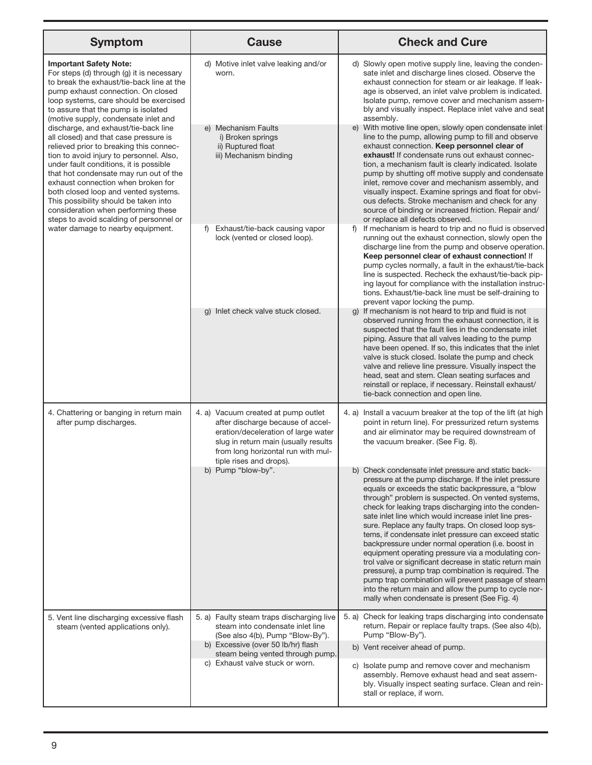| <b>Symptom</b>                                                                                                                                                                                                                                                                                                                                                                                                                                                                                                                                                                                                                                                                                                                                                                                   | <b>Cause</b>                                                                                                                                                                                                                   | <b>Check and Cure</b>                                                                                                                                                                                                                                                                                                                                                                                                                                                                                                                                                                                                                                                                                                                                                                                                                                   |
|--------------------------------------------------------------------------------------------------------------------------------------------------------------------------------------------------------------------------------------------------------------------------------------------------------------------------------------------------------------------------------------------------------------------------------------------------------------------------------------------------------------------------------------------------------------------------------------------------------------------------------------------------------------------------------------------------------------------------------------------------------------------------------------------------|--------------------------------------------------------------------------------------------------------------------------------------------------------------------------------------------------------------------------------|---------------------------------------------------------------------------------------------------------------------------------------------------------------------------------------------------------------------------------------------------------------------------------------------------------------------------------------------------------------------------------------------------------------------------------------------------------------------------------------------------------------------------------------------------------------------------------------------------------------------------------------------------------------------------------------------------------------------------------------------------------------------------------------------------------------------------------------------------------|
| <b>Important Safety Note:</b><br>For steps (d) through (g) it is necessary<br>to break the exhaust/tie-back line at the<br>pump exhaust connection. On closed<br>loop systems, care should be exercised<br>to assure that the pump is isolated<br>(motive supply, condensate inlet and<br>discharge, and exhaust/tie-back line<br>all closed) and that case pressure is<br>relieved prior to breaking this connec-<br>tion to avoid injury to personnel. Also,<br>under fault conditions, it is possible<br>that hot condensate may run out of the<br>exhaust connection when broken for<br>both closed loop and vented systems.<br>This possibility should be taken into<br>consideration when performing these<br>steps to avoid scalding of personnel or<br>water damage to nearby equipment. | d) Motive inlet valve leaking and/or<br>worn.                                                                                                                                                                                  | d) Slowly open motive supply line, leaving the conden-<br>sate inlet and discharge lines closed. Observe the<br>exhaust connection for steam or air leakage. If leak-<br>age is observed, an inlet valve problem is indicated.<br>Isolate pump, remove cover and mechanism assem-<br>bly and visually inspect. Replace inlet valve and seat<br>assembly.                                                                                                                                                                                                                                                                                                                                                                                                                                                                                                |
|                                                                                                                                                                                                                                                                                                                                                                                                                                                                                                                                                                                                                                                                                                                                                                                                  | e) Mechanism Faults<br>i) Broken springs<br>ii) Ruptured float<br>iii) Mechanism binding                                                                                                                                       | e) With motive line open, slowly open condensate inlet<br>line to the pump, allowing pump to fill and observe<br>exhaust connection. Keep personnel clear of<br>exhaust! If condensate runs out exhaust connec-<br>tion, a mechanism fault is clearly indicated. Isolate<br>pump by shutting off motive supply and condensate<br>inlet, remove cover and mechanism assembly, and<br>visually inspect. Examine springs and float for obvi-<br>ous defects. Stroke mechanism and check for any<br>source of binding or increased friction. Repair and/<br>or replace all defects observed.                                                                                                                                                                                                                                                                |
|                                                                                                                                                                                                                                                                                                                                                                                                                                                                                                                                                                                                                                                                                                                                                                                                  | Exhaust/tie-back causing vapor<br>f)<br>lock (vented or closed loop).                                                                                                                                                          | If mechanism is heard to trip and no fluid is observed<br>f)<br>running out the exhaust connection, slowly open the<br>discharge line from the pump and observe operation.<br>Keep personnel clear of exhaust connection! If<br>pump cycles normally, a fault in the exhaust/tie-back<br>line is suspected. Recheck the exhaust/tie-back pip-<br>ing layout for compliance with the installation instruc-<br>tions. Exhaust/tie-back line must be self-draining to<br>prevent vapor locking the pump.                                                                                                                                                                                                                                                                                                                                                   |
|                                                                                                                                                                                                                                                                                                                                                                                                                                                                                                                                                                                                                                                                                                                                                                                                  | g) Inlet check valve stuck closed.                                                                                                                                                                                             | g) If mechanism is not heard to trip and fluid is not<br>observed running from the exhaust connection, it is<br>suspected that the fault lies in the condensate inlet<br>piping. Assure that all valves leading to the pump<br>have been opened. If so, this indicates that the inlet<br>valve is stuck closed. Isolate the pump and check<br>valve and relieve line pressure. Visually inspect the<br>head, seat and stem. Clean seating surfaces and<br>reinstall or replace, if necessary. Reinstall exhaust/<br>tie-back connection and open line.                                                                                                                                                                                                                                                                                                  |
| 4. Chattering or banging in return main<br>after pump discharges.                                                                                                                                                                                                                                                                                                                                                                                                                                                                                                                                                                                                                                                                                                                                | 4. a) Vacuum created at pump outlet<br>after discharge because of accel-<br>eration/deceleration of large water<br>slug in return main (usually results<br>from long horizontal run with mul-<br>tiple rises and drops).       | 4. a) Install a vacuum breaker at the top of the lift (at high<br>point in return line). For pressurized return systems<br>and air eliminator may be required downstream of<br>the vacuum breaker. (See Fig. 8).                                                                                                                                                                                                                                                                                                                                                                                                                                                                                                                                                                                                                                        |
|                                                                                                                                                                                                                                                                                                                                                                                                                                                                                                                                                                                                                                                                                                                                                                                                  | b) Pump "blow-by".                                                                                                                                                                                                             | b) Check condensate inlet pressure and static back-<br>pressure at the pump discharge. If the inlet pressure<br>equals or exceeds the static backpressure, a "blow<br>through" problem is suspected. On vented systems,<br>check for leaking traps discharging into the conden-<br>sate inlet line which would increase inlet line pres-<br>sure. Replace any faulty traps. On closed loop sys-<br>tems, if condensate inlet pressure can exceed static<br>backpressure under normal operation (i.e. boost in<br>equipment operating pressure via a modulating con-<br>trol valve or significant decrease in static return main<br>pressure), a pump trap combination is required. The<br>pump trap combination will prevent passage of steam<br>into the return main and allow the pump to cycle nor-<br>mally when condensate is present (See Fig. 4) |
| 5. Vent line discharging excessive flash<br>steam (vented applications only).                                                                                                                                                                                                                                                                                                                                                                                                                                                                                                                                                                                                                                                                                                                    | 5. a) Faulty steam traps discharging live<br>steam into condensate inlet line<br>(See also 4(b), Pump "Blow-By").<br>b) Excessive (over 50 lb/hr) flash<br>steam being vented through pump.<br>c) Exhaust valve stuck or worn. | 5. a) Check for leaking traps discharging into condensate<br>return. Repair or replace faulty traps. (See also 4(b),<br>Pump "Blow-By").                                                                                                                                                                                                                                                                                                                                                                                                                                                                                                                                                                                                                                                                                                                |
|                                                                                                                                                                                                                                                                                                                                                                                                                                                                                                                                                                                                                                                                                                                                                                                                  |                                                                                                                                                                                                                                | b) Vent receiver ahead of pump.                                                                                                                                                                                                                                                                                                                                                                                                                                                                                                                                                                                                                                                                                                                                                                                                                         |
|                                                                                                                                                                                                                                                                                                                                                                                                                                                                                                                                                                                                                                                                                                                                                                                                  |                                                                                                                                                                                                                                | c) Isolate pump and remove cover and mechanism<br>assembly. Remove exhaust head and seat assem-<br>bly. Visually inspect seating surface. Clean and rein-<br>stall or replace, if worn.                                                                                                                                                                                                                                                                                                                                                                                                                                                                                                                                                                                                                                                                 |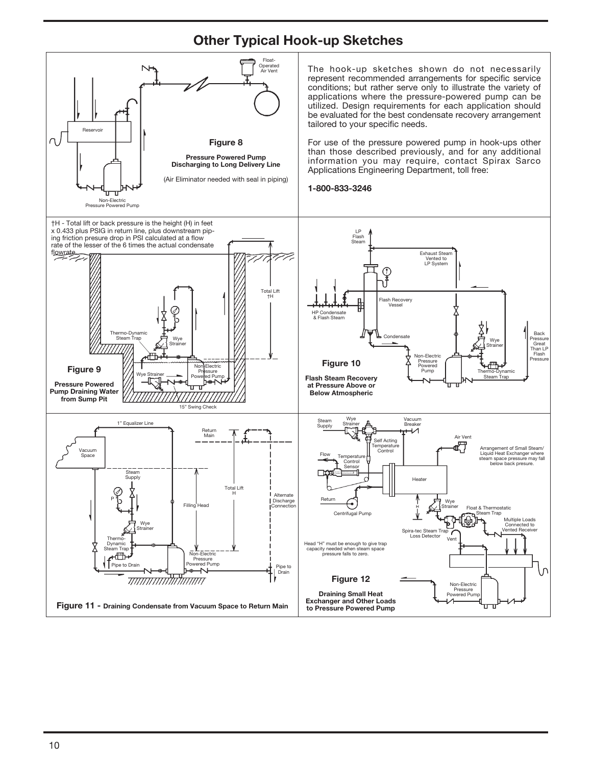# Other Typical Hook-up Sketches